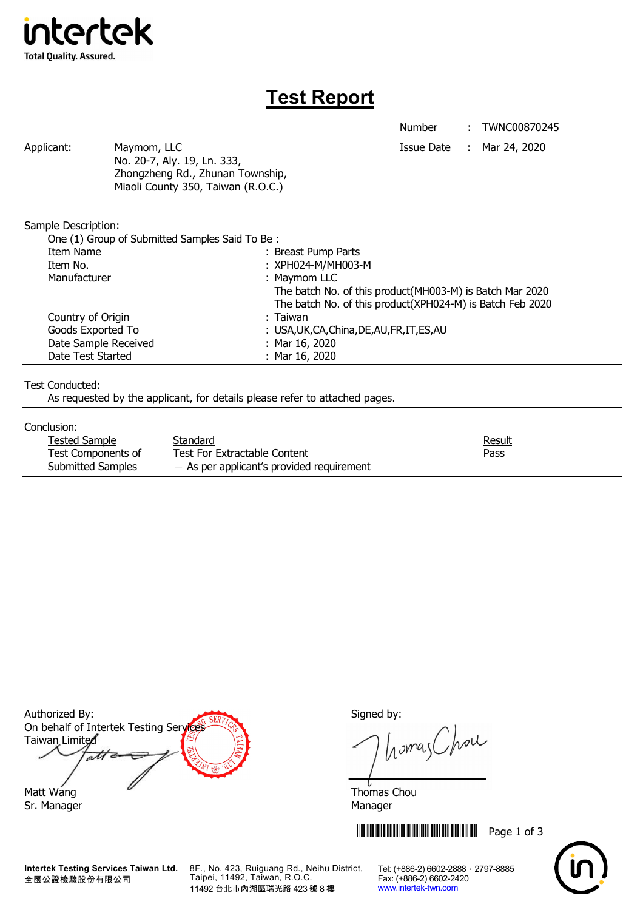

# **Test Report**

Number : TWNC00870245

Applicant: Maymom, LLC Maymon, ILC Applicant: Mar 24, 2020 No. 20-7, Aly. 19, Ln. 333, Zhongzheng Rd., Zhunan Township, Miaoli County 350, Taiwan (R.O.C.)

Sample Description:

| One (1) Group of Submitted Samples Said To Be: |                                                           |  |
|------------------------------------------------|-----------------------------------------------------------|--|
| Item Name                                      | : Breast Pump Parts                                       |  |
| Item No.                                       | : XPH024-M/MH003-M                                        |  |
| Manufacturer                                   | : Maymom LLC                                              |  |
|                                                | The batch No. of this product(MH003-M) is Batch Mar 2020  |  |
|                                                | The batch No. of this product(XPH024-M) is Batch Feb 2020 |  |
| Country of Origin                              | : Taiwan                                                  |  |
| Goods Exported To                              | : USA, UK, CA, China, DE, AU, FR, IT, ES, AU              |  |
| Date Sample Received                           | : Mar $16, 2020$                                          |  |
| Date Test Started                              | : Mar 16, 2020                                            |  |

### Test Conducted:

As requested by the applicant, for details please refer to attached pages.

#### Conclusion:

| Tested Sample      | Standard                                    | <u>Result</u> |
|--------------------|---------------------------------------------|---------------|
| Test Components of | Test For Extractable Content                | Pass          |
| Submitted Samples  | $-$ As per applicant's provided requirement |               |

Authorized By: Signed by: On behalf of Intertek Testing Services Taiwan Limited  $\overline{a}$ Matt Wang **Thomas Chou** 

Sr. Manager Manager Manager Manager Manager

**Intertek Testing Services Taiwan Ltd.** 全國公證檢驗股份有限公司

8F., No. 423, Ruiguang Rd., Neihu District, Taipei, 11492, Taiwan, R.O.C. 11492 台北市內湖區瑞光路 423 號 8 樓

homes Chou

**THEFT READERS THE READER IN THE READER IN 1999** 



Tel: (+886-2) 6602-2888 · 2797-8885 Fax: (+886-2) 6602-2420 www.intertek-twn.com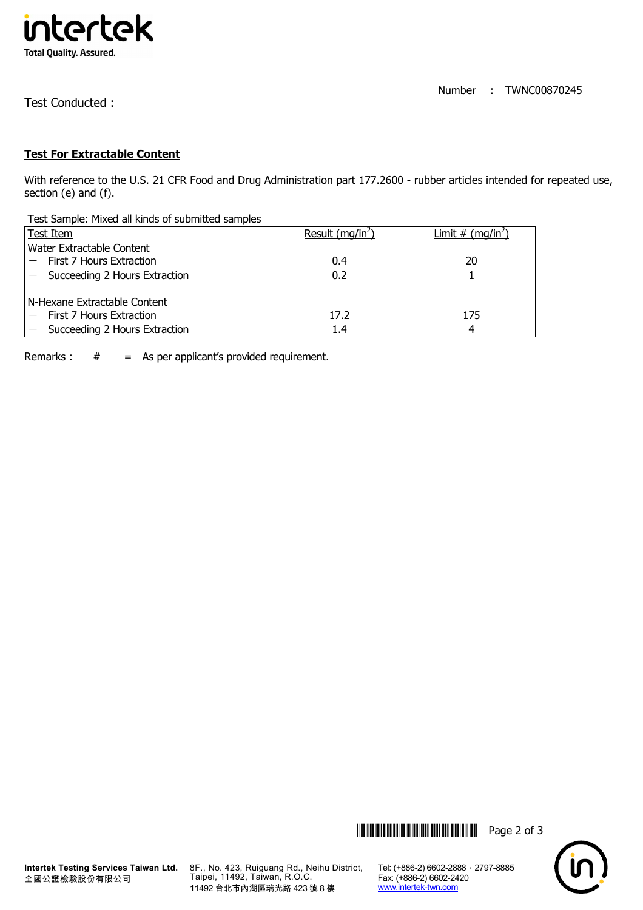

Number : TWNC00870245

Test Conducted :

## **Test For Extractable Content**

With reference to the U.S. 21 CFR Food and Drug Administration part 177.2600 - rubber articles intended for repeated use, section (e) and (f).

Test Sample: Mixed all kinds of submitted samples Test Item Result  $(mq/n^2)$ ) Limit # (mg/in<sup>2</sup>) Water Extractable Content - First 7 Hours Extraction 0.4 20 - Succeeding 2 Hours Extraction 0.2 1 N-Hexane Extractable Content First 7 Hours Extraction 17.2 175 Succeeding 2 Hours Extraction 1.4 1.4 4

Remarks :  $#$  = As per applicant's provided requirement.





Tel: (+886-2) 6602-2888 · 2797-8885 Fax: (+886-2) 6602-2420 www.intertek-twn.com